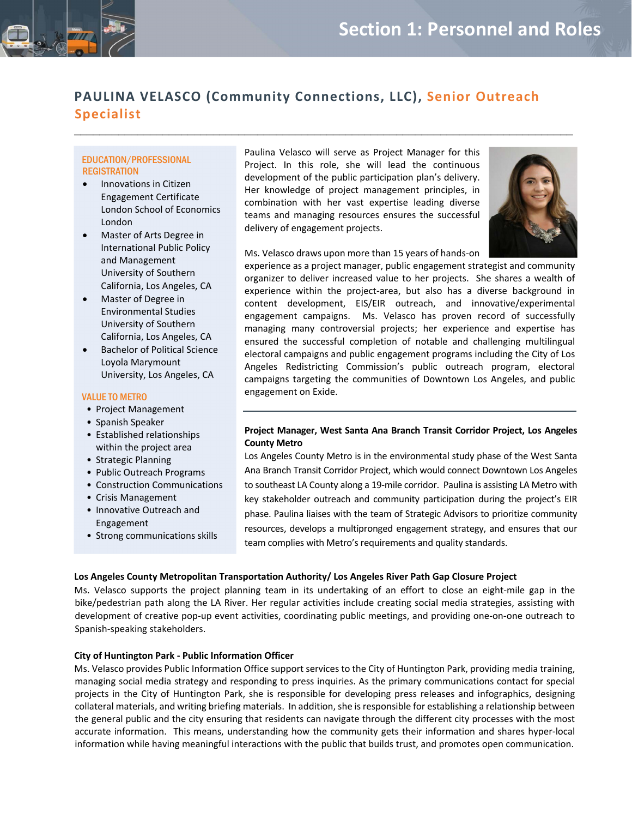# **PAULINA VELASCO (Community Connections, LLC), Senior Outreach Specialist**

 $\mathcal{L}_\text{max}$  and  $\mathcal{L}_\text{max}$  and  $\mathcal{L}_\text{max}$  and  $\mathcal{L}_\text{max}$  and  $\mathcal{L}_\text{max}$  and  $\mathcal{L}_\text{max}$ 

## EDUCATION/PROFESSIONAL **REGISTRATION**

- Innovations in Citizen Engagement Certificate London School of Economics London
- Master of Arts Degree in International Public Policy and Management University of Southern California, Los Angeles, CA
- Master of Degree in Environmental Studies University of Southern California, Los Angeles, CA
- Bachelor of Political Science Loyola Marymount University, Los Angeles, CA

#### VALUE TO METRO

- Project Management
- Spanish Speaker
- Established relationships within the project area
- Strategic Planning
- Public Outreach Programs
- Construction Communications
- Crisis Management
- Innovative Outreach and Engagement
- Strong communications skills

Paulina Velasco will serve as Project Manager for this Project. In this role, she will lead the continuous development of the public participation plan's delivery. Her knowledge of project management principles, in combination with her vast expertise leading diverse teams and managing resources ensures the successful delivery of engagement projects.



Ms. Velasco draws upon more than 15 years of hands‐on

experience as a project manager, public engagement strategist and community organizer to deliver increased value to her projects. She shares a wealth of experience within the project-area, but also has a diverse background in content development, EIS/EIR outreach, and innovative/experimental engagement campaigns. Ms. Velasco has proven record of successfully managing many controversial projects; her experience and expertise has ensured the successful completion of notable and challenging multilingual electoral campaigns and public engagement programs including the City of Los Angeles Redistricting Commission's public outreach program, electoral campaigns targeting the communities of Downtown Los Angeles, and public engagement on Exide.

## **Project Manager, West Santa Ana Branch Transit Corridor Project, Los Angeles County Metro**

Los Angeles County Metro is in the environmental study phase of the West Santa Ana Branch Transit Corridor Project, which would connect Downtown Los Angeles to southeast LA County along a 19‐mile corridor. Paulina is assisting LA Metro with key stakeholder outreach and community participation during the project's EIR phase. Paulina liaises with the team of Strategic Advisors to prioritize community resources, develops a multipronged engagement strategy, and ensures that our team complies with Metro's requirements and quality standards.

### **Los Angeles County Metropolitan Transportation Authority/ Los Angeles River Path Gap Closure Project**

Ms. Velasco supports the project planning team in its undertaking of an effort to close an eight-mile gap in the bike/pedestrian path along the LA River. Her regular activities include creating social media strategies, assisting with development of creative pop‐up event activities, coordinating public meetings, and providing one‐on‐one outreach to Spanish‐speaking stakeholders.

### **City of Huntington Park ‐ Public Information Officer**

Ms. Velasco provides Public Information Office support services to the City of Huntington Park, providing media training, managing social media strategy and responding to press inquiries. As the primary communications contact for special projects in the City of Huntington Park, she is responsible for developing press releases and infographics, designing collateral materials, and writing briefing materials. In addition, she isresponsible for establishing a relationship between the general public and the city ensuring that residents can navigate through the different city processes with the most accurate information. This means, understanding how the community gets their information and shares hyper‐local information while having meaningful interactions with the public that builds trust, and promotes open communication.